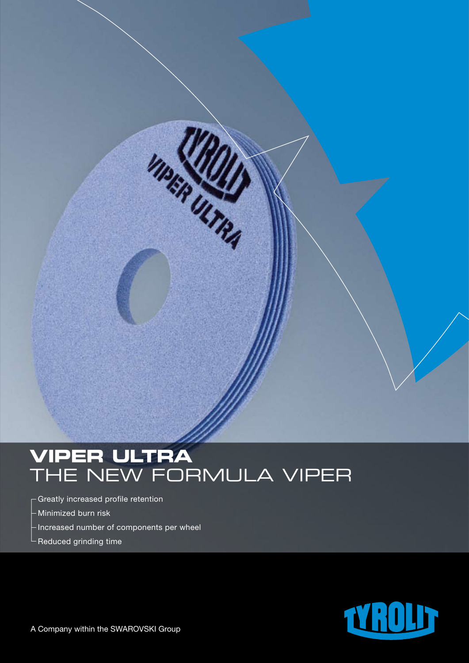# **VIPER ULTRA** THE NEW FORMULA VIPER

Inter USA

- Greatly increased profile retention
- Minimized burn risk
- Increased number of components per wheel
- Reduced grinding time

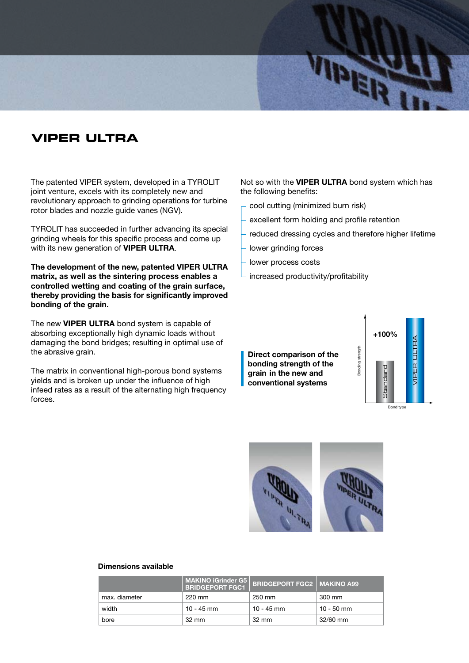

### **VIPER ULTRA**

The patented VIPER system, developed in a TYROLIT joint venture, excels with its completely new and revolutionary approach to grinding operations for turbine rotor blades and nozzle guide vanes (NGV).

TYROLIT has succeeded in further advancing its special grinding wheels for this specific process and come up with its new generation of **VIPER ULTRA**.

**The development of the new, patented VIPER ULTRA matrix, as well as the sintering process enables a controlled wetting and coating of the grain surface, thereby providing the basis for significantly improved bonding of the grain.**

The new **VIPER ULTRA** bond system is capable of absorbing exceptionally high dynamic loads without damaging the bond bridges; resulting in optimal use of the abrasive grain.

The matrix in conventional high-porous bond systems yields and is broken up under the influence of high infeed rates as a result of the alternating high frequency forces.

Not so with the **VIPER ULTRA** bond system which has the following benefits:

- cool cutting (minimized burn risk)
- excellent form holding and profile retention
- reduced dressing cycles and therefore higher lifetime
- lower grinding forces
- lower process costs
- increased productivity/profitability

**Direct comparison of the bonding strength of the grain in the new and conventional systems**





#### **Dimensions available**

|               | <b>MAKINO iGrinder G5</b><br><b>BRIDGEPORT FGC1</b> | <b>BRIDGEPORT FGC2   MAKINO A99</b> |            |
|---------------|-----------------------------------------------------|-------------------------------------|------------|
| max. diameter | 220 mm                                              | 250 mm                              | 300 mm     |
| width         | $10 - 45$ mm                                        | 10 - 45 mm                          | 10 - 50 mm |
| bore          | $32 \text{ mm}$                                     | $32 \text{ mm}$                     | 32/60 mm   |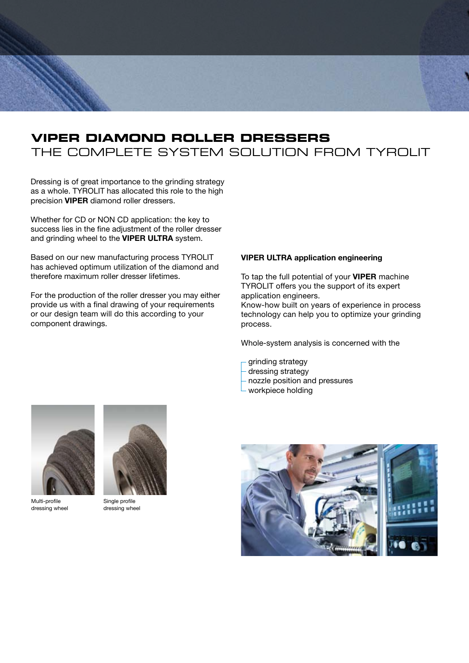### **VIPER DIAMOND ROLLER DRESSERS** THE COMPLETE SYSTEM SOLUTION FROM TYROLIT

Dressing is of great importance to the grinding strategy as a whole. TYROLIT has allocated this role to the high precision **VIPER** diamond roller dressers.

Whether for CD or NON CD application: the key to success lies in the fine adjustment of the roller dresser and grinding wheel to the **VIPER ULTRA** system.

Based on our new manufacturing process TYROLIT has achieved optimum utilization of the diamond and therefore maximum roller dresser lifetimes.

For the production of the roller dresser you may either provide us with a final drawing of your requirements or our design team will do this according to your component drawings.

#### **VIPER ULTRA application engineering**

To tap the full potential of your **VIPER** machine TYROLIT offers you the support of its expert application engineers.

Know-how built on years of experience in process technology can help you to optimize your grinding process.

Whole-system analysis is concerned with the

- grinding strategy
- dressing strategy
- nozzle position and pressures
- workpiece holding



Multi-profile dressing wheel



Single profile dressing wheel

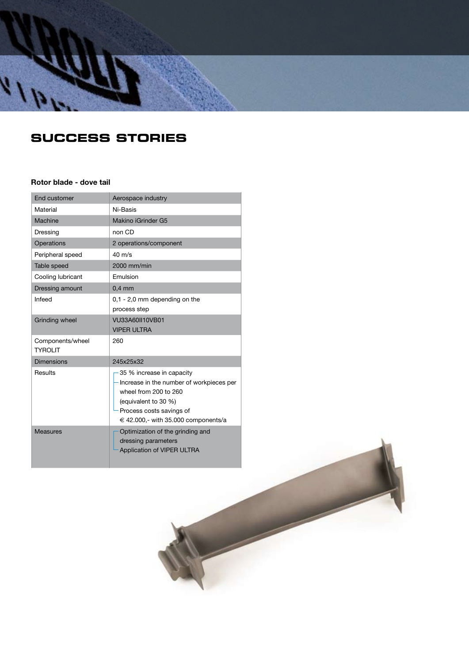

## **SUcCESS STORIES**

#### **Rotor blade - dove tail**

| End customer                       | Aerospace industry                                                                                                                                                                        |
|------------------------------------|-------------------------------------------------------------------------------------------------------------------------------------------------------------------------------------------|
| Material                           | Ni-Basis                                                                                                                                                                                  |
| Machine                            | Makino iGrinder G5                                                                                                                                                                        |
| Dressing                           | non CD                                                                                                                                                                                    |
| Operations                         | 2 operations/component                                                                                                                                                                    |
| Peripheral speed                   | $40 \text{ m/s}$                                                                                                                                                                          |
| Table speed                        | 2000 mm/min                                                                                                                                                                               |
| Cooling lubricant                  | Emulsion                                                                                                                                                                                  |
| Dressing amount                    | $0.4$ mm                                                                                                                                                                                  |
| Infeed                             | $0,1 - 2,0$ mm depending on the<br>process step                                                                                                                                           |
| <b>Grinding wheel</b>              | VU33A60II10VB01<br><b>VIPER ULTRA</b>                                                                                                                                                     |
| Components/wheel<br><b>TYROLIT</b> | 260                                                                                                                                                                                       |
| <b>Dimensions</b>                  | 245x25x32                                                                                                                                                                                 |
| Results                            | 35 % increase in capacity<br>Increase in the number of workpieces per<br>wheel from 200 to 260<br>(equivalent to 30 %)<br>Process costs savings of<br>€ 42.000,- with 35.000 components/a |
| <b>Measures</b>                    | Optimization of the grinding and<br>dressing parameters<br>Application of VIPER ULTRA                                                                                                     |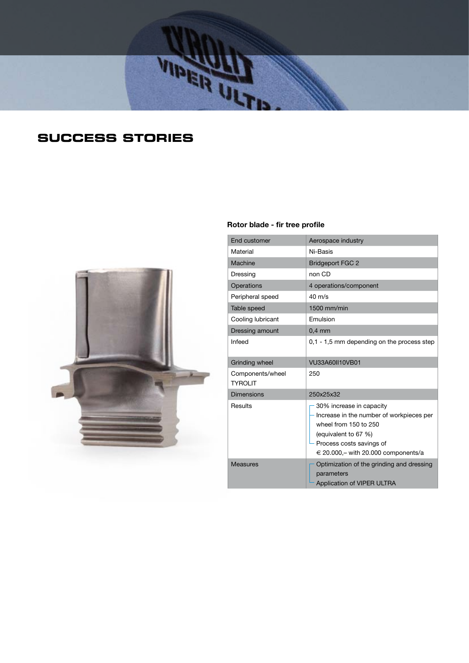

# **SUcCESS STORIES**



#### **Rotor blade - fir tree profile**

| <b>End customer</b>                | Aerospace industry                                                                                                                                                                       |  |
|------------------------------------|------------------------------------------------------------------------------------------------------------------------------------------------------------------------------------------|--|
| Material                           | Ni-Basis                                                                                                                                                                                 |  |
| Machine                            | <b>Bridgeport FGC 2</b>                                                                                                                                                                  |  |
| Dressing                           | non CD                                                                                                                                                                                   |  |
| Operations                         | 4 operations/component                                                                                                                                                                   |  |
| Peripheral speed                   | $40 \text{ m/s}$                                                                                                                                                                         |  |
| Table speed                        | 1500 mm/min                                                                                                                                                                              |  |
| Cooling lubricant                  | Emulsion                                                                                                                                                                                 |  |
| Dressing amount                    | $0.4$ mm                                                                                                                                                                                 |  |
| Infeed                             | 0,1 - 1,5 mm depending on the process step                                                                                                                                               |  |
| Grinding wheel                     | VU33A60II10VB01                                                                                                                                                                          |  |
| Components/wheel<br><b>TYROLIT</b> | 250                                                                                                                                                                                      |  |
| Dimensions                         | 250x25x32                                                                                                                                                                                |  |
| Results                            | 30% increase in capacity<br>Increase in the number of workpieces per<br>wheel from 150 to 250<br>(equivalent to 67 %)<br>Process costs savings of<br>€ 20.000,- with 20.000 components/a |  |
| <b>Measures</b>                    | Optimization of the grinding and dressing<br>parameters<br>Application of VIPER ULTRA                                                                                                    |  |
|                                    |                                                                                                                                                                                          |  |